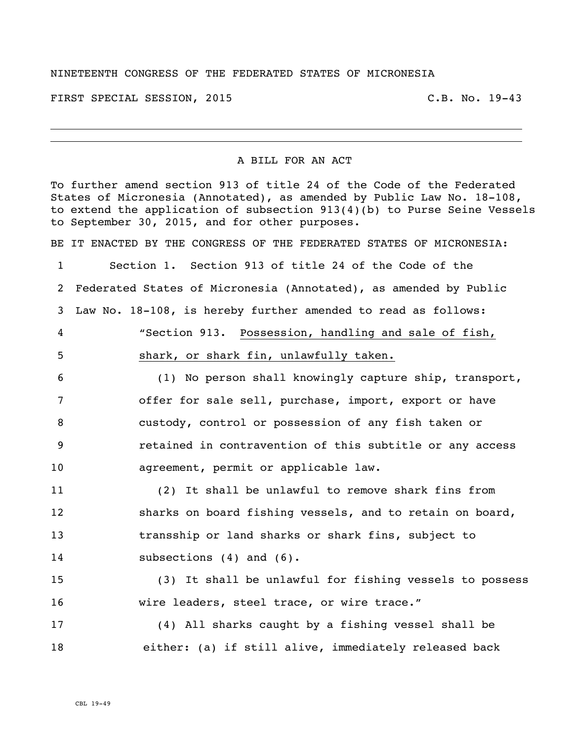## NINETEENTH CONGRESS OF THE FEDERATED STATES OF MICRONESIA

FIRST SPECIAL SESSION, 2015 C.B. No. 19-43

## A BILL FOR AN ACT

To further amend section 913 of title 24 of the Code of the Federated States of Micronesia (Annotated), as amended by Public Law No. 18-108, to extend the application of subsection 913(4)(b) to Purse Seine Vessels to September 30, 2015, and for other purposes. BE IT ENACTED BY THE CONGRESS OF THE FEDERATED STATES OF MICRONESIA: Section 1. Section 913 of title 24 of the Code of the Federated States of Micronesia (Annotated), as amended by Public Law No. 18-108, is hereby further amended to read as follows: "Section 913. Possession, handling and sale of fish, shark, or shark fin, unlawfully taken. (1) No person shall knowingly capture ship, transport, offer for sale sell, purchase, import, export or have custody, control or possession of any fish taken or retained in contravention of this subtitle or any access agreement, permit or applicable law. (2) It shall be unlawful to remove shark fins from sharks on board fishing vessels, and to retain on board, transship or land sharks or shark fins, subject to 14 subsections (4) and (6). (3) It shall be unlawful for fishing vessels to possess wire leaders, steel trace, or wire trace." (4) All sharks caught by a fishing vessel shall be either: (a) if still alive, immediately released back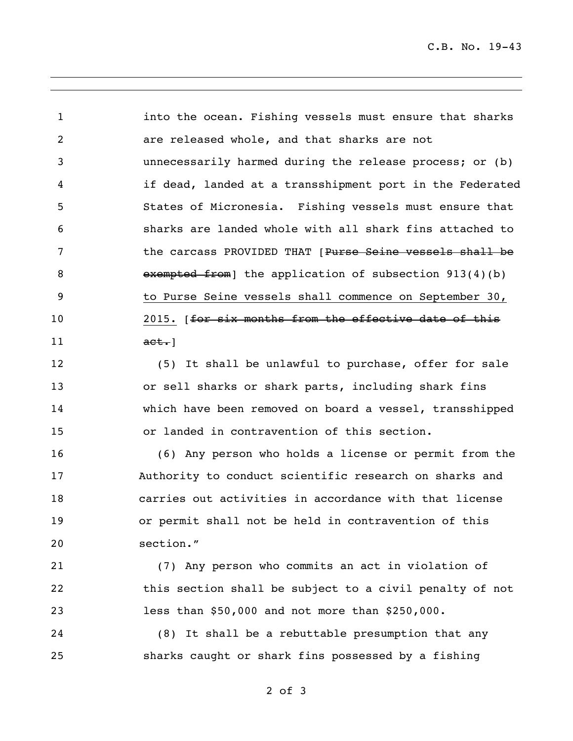C.B. No. 19-43

 into the ocean. Fishing vessels must ensure that sharks are released whole, and that sharks are not unnecessarily harmed during the release process; or (b) if dead, landed at a transshipment port in the Federated States of Micronesia. Fishing vessels must ensure that sharks are landed whole with all shark fins attached to **the carcass PROVIDED THAT** [Purse Seine vessels shall be 8 exempted from] the application of subsection 913(4)(b) to Purse Seine vessels shall commence on September 30, 10 2015. [for six months from the effective date of this **act.**]

 (5) It shall be unlawful to purchase, offer for sale or sell sharks or shark parts, including shark fins which have been removed on board a vessel, transshipped or landed in contravention of this section.

 (6) Any person who holds a license or permit from the Authority to conduct scientific research on sharks and carries out activities in accordance with that license or permit shall not be held in contravention of this section."

 (7) Any person who commits an act in violation of this section shall be subject to a civil penalty of not less than \$50,000 and not more than \$250,000.

 (8) It shall be a rebuttable presumption that any sharks caught or shark fins possessed by a fishing

of 3